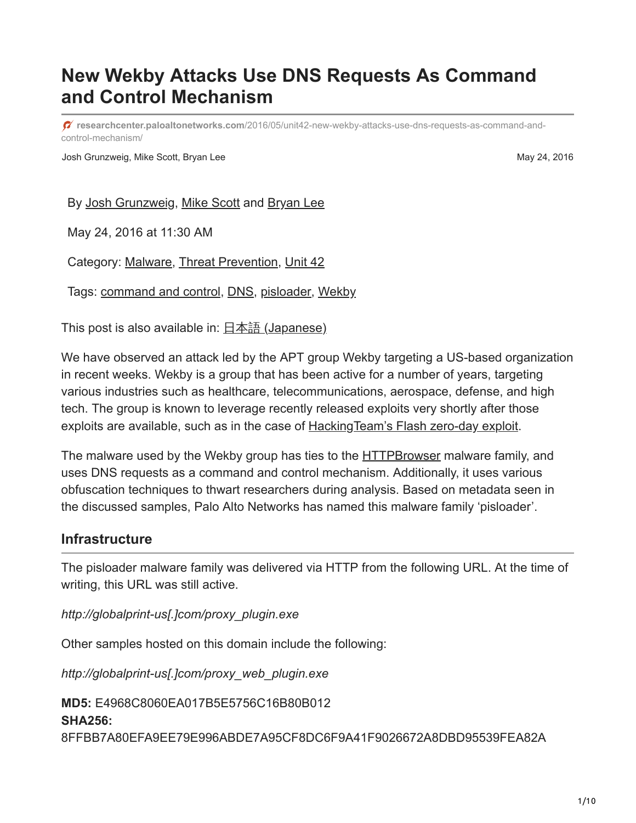# **New Wekby Attacks Use DNS Requests As Command and Control Mechanism**

**researchcenter.paloaltonetworks.com**[/2016/05/unit42-new-wekby-attacks-use-dns-requests-as-command-and](http://researchcenter.paloaltonetworks.com/2016/05/unit42-new-wekby-attacks-use-dns-requests-as-command-and-control-mechanism/)control-mechanism/

Josh Grunzweig, Mike Scott, Bryan Lee May 24, 2016

By [Josh Grunzweig](https://unit42.paloaltonetworks.com/author/joshgruznweig/), [Mike Scott](https://unit42.paloaltonetworks.com/author/mike-scott/) and [Bryan Lee](https://unit42.paloaltonetworks.com/author/bryanlee/)

May 24, 2016 at 11:30 AM

Category: [Malware,](https://unit42.paloaltonetworks.com/category/malware-2/) [Threat Prevention,](https://unit42.paloaltonetworks.com/category/threat-prevention-2/) [Unit 42](https://unit42.paloaltonetworks.com/category/unit42/)

Tags: [command and control](https://unit42.paloaltonetworks.com/tag/command-and-control/), [DNS](https://unit42.paloaltonetworks.com/tag/dns/), [pisloader,](https://unit42.paloaltonetworks.com/tag/pisloader/) [Wekby](https://unit42.paloaltonetworks.com/tag/wekby/)

This post is also available in:  $\frac{\Box \pm \Diamond \exists}{\Box}$  [\(Japanese\)](https://unit42.paloaltonetworks.jp/unit42-new-wekby-attacks-use-dns-requests-as-command-and-control-mechanism/)

We have observed an attack led by the APT group Wekby targeting a US-based organization in recent weeks. Wekby is a group that has been active for a number of years, targeting various industries such as healthcare, telecommunications, aerospace, defense, and high tech. The group is known to leverage recently released exploits very shortly after those exploits are available, such as in the case of Hacking Team's Flash zero-day exploit.

The malware used by the Wekby group has ties to the **[HTTPBrowser](https://www.zscaler.com/blogs/research/chinese-cyber-espionage-apt-group-leveraging-recently-leaked-hacking-team-exploits-target-financial-services-firm)** malware family, and uses DNS requests as a command and control mechanism. Additionally, it uses various obfuscation techniques to thwart researchers during analysis. Based on metadata seen in the discussed samples, Palo Alto Networks has named this malware family 'pisloader'.

# **Infrastructure**

The pisloader malware family was delivered via HTTP from the following URL. At the time of writing, this URL was still active.

*http://globalprint-us[.]com/proxy\_plugin.exe* 

Other samples hosted on this domain include the following:

*http://globalprint-us[.]com/proxy\_web\_plugin.exe* 

**MD5:** E4968C8060EA017B5E5756C16B80B012 **SHA256:** 8FFBB7A80EFA9EE79E996ABDE7A95CF8DC6F9A41F9026672A8DBD95539FEA82A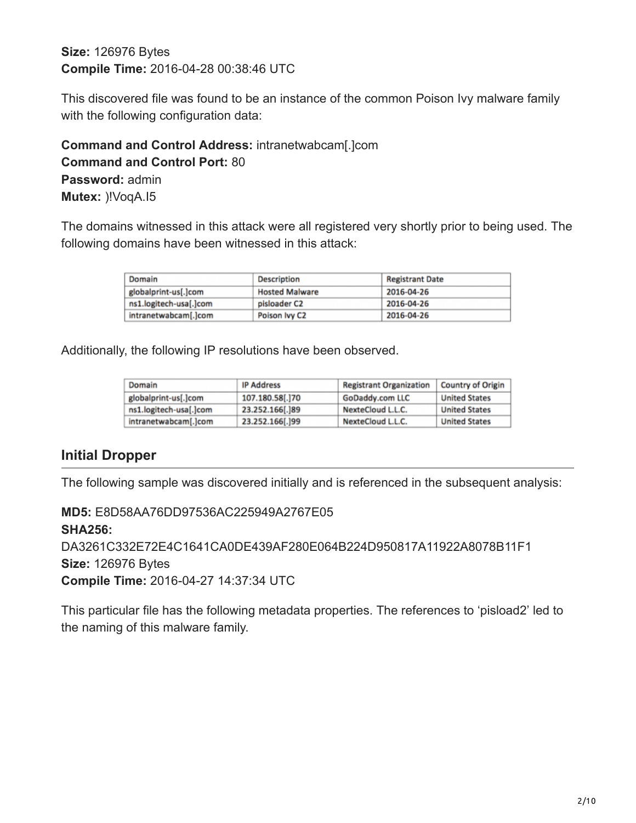# **Size:** 126976 Bytes **Compile Time:** 2016-04-28 00:38:46 UTC

This discovered file was found to be an instance of the common Poison Ivy malware family with the following configuration data:

# **Command and Control Address:** intranetwabcam[.]com **Command and Control Port:** 80 **Password:** admin **Mutex:** )!VoqA.I5

The domains witnessed in this attack were all registered very shortly prior to being used. The following domains have been witnessed in this attack:

| Domain                 | <b>Description</b>    | <b>Registrant Date</b> |  |
|------------------------|-----------------------|------------------------|--|
| globalprint-us[.]com   | <b>Hosted Malware</b> | 2016-04-26             |  |
| ns1.logitech-usa[.]com | pisloader C2          | 2016-04-26             |  |
| intranetwabcam[.]com   | Poison Ivy C2         | 2016-04-26             |  |

Additionally, the following IP resolutions have been observed.

| Domain                 | <b>IP Address</b> | <b>Registrant Organization</b> | Country of Origin    |
|------------------------|-------------------|--------------------------------|----------------------|
| globalprint-us[.]com   | 107.180.58[.]70   | GoDaddy.com LLC                | <b>United States</b> |
| ns1.logitech-usa[.]com | 23.252.166[.]89   | NexteCloud L.L.C.              | <b>United States</b> |
| intranetwabcam[.]com   | 23.252.166[.]99   | NexteCloud L.L.C.              | <b>United States</b> |

# **Initial Dropper**

The following sample was discovered initially and is referenced in the subsequent analysis:

**MD5:** E8D58AA76DD97536AC225949A2767E05 **SHA256:** DA3261C332E72E4C1641CA0DE439AF280E064B224D950817A11922A8078B11F1 **Size:** 126976 Bytes **Compile Time:** 2016-04-27 14:37:34 UTC

This particular file has the following metadata properties. The references to 'pisload2' led to the naming of this malware family.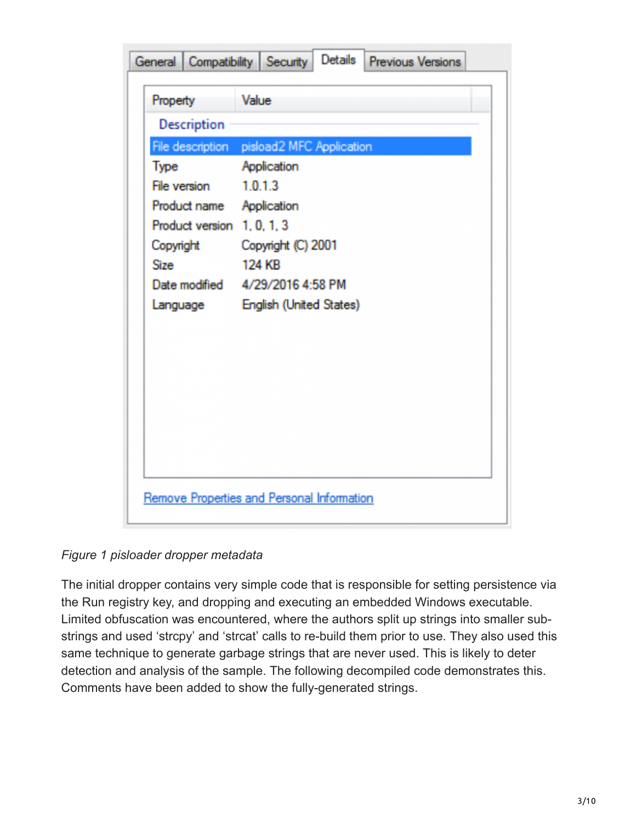| General Compatibility Security | Details Previous Versions                                |
|--------------------------------|----------------------------------------------------------|
| Property                       | Value                                                    |
| <b>Description</b>             |                                                          |
| Type                           | File description pisload2 MFC Application<br>Application |
| File version 1.0.1.3           |                                                          |
| Product name Application       |                                                          |
| Product version 1, 0, 1, 3     |                                                          |
| Copyright                      | Copyright (C) 2001                                       |
| Size                           | <b>124 KB</b>                                            |
|                                | Date modified 4/29/2016 4:58 PM                          |
| Language                       | English (United States)                                  |
|                                |                                                          |
|                                |                                                          |
|                                |                                                          |
|                                |                                                          |
|                                |                                                          |
|                                |                                                          |
|                                |                                                          |
|                                |                                                          |
|                                | Remove Properties and Personal Information               |

*Figure 1 pisloader dropper metadata*

The initial dropper contains very simple code that is responsible for setting persistence via the Run registry key, and dropping and executing an embedded Windows executable. Limited obfuscation was encountered, where the authors split up strings into smaller substrings and used 'strcpy' and 'strcat' calls to re-build them prior to use. They also used this same technique to generate garbage strings that are never used. This is likely to deter detection and analysis of the sample. The following decompiled code demonstrates this. Comments have been added to show the fully-generated strings.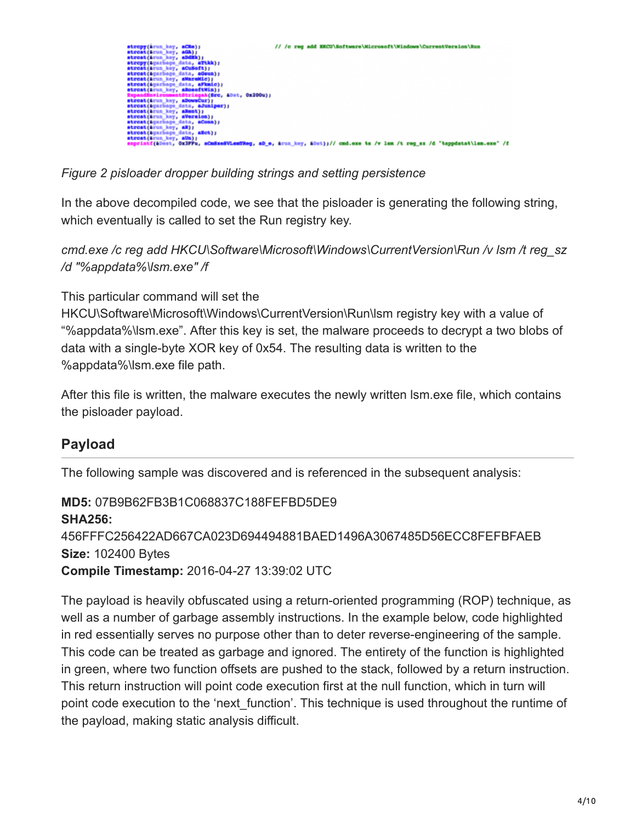

*Figure 2 pisloader dropper building strings and setting persistence*

In the above decompiled code, we see that the pisloader is generating the following string, which eventually is called to set the Run registry key.

*cmd.exe /c reg add HKCU\Software\Microsoft\Windows\CurrentVersion\Run /v lsm /t reg\_sz /d "%appdata%\lsm.exe" /f*

This particular command will set the

HKCU\Software\Microsoft\Windows\CurrentVersion\Run\Ism registry key with a value of "%appdata%\lsm.exe". After this key is set, the malware proceeds to decrypt a two blobs of data with a single-byte XOR key of 0x54. The resulting data is written to the %appdata%\lsm.exe file path.

After this file is written, the malware executes the newly written lsm.exe file, which contains the pisloader payload.

# **Payload**

The following sample was discovered and is referenced in the subsequent analysis:

**MD5:** 07B9B62FB3B1C068837C188FEFBD5DE9 **SHA256:** 456FFFC256422AD667CA023D694494881BAED1496A3067485D56ECC8FEFBFAEB **Size:** 102400 Bytes **Compile Timestamp:** 2016-04-27 13:39:02 UTC

The payload is heavily obfuscated using a return-oriented programming (ROP) technique, as well as a number of garbage assembly instructions. In the example below, code highlighted in red essentially serves no purpose other than to deter reverse-engineering of the sample. This code can be treated as garbage and ignored. The entirety of the function is highlighted in green, where two function offsets are pushed to the stack, followed by a return instruction. This return instruction will point code execution first at the null function, which in turn will point code execution to the 'next function'. This technique is used throughout the runtime of the payload, making static analysis difficult.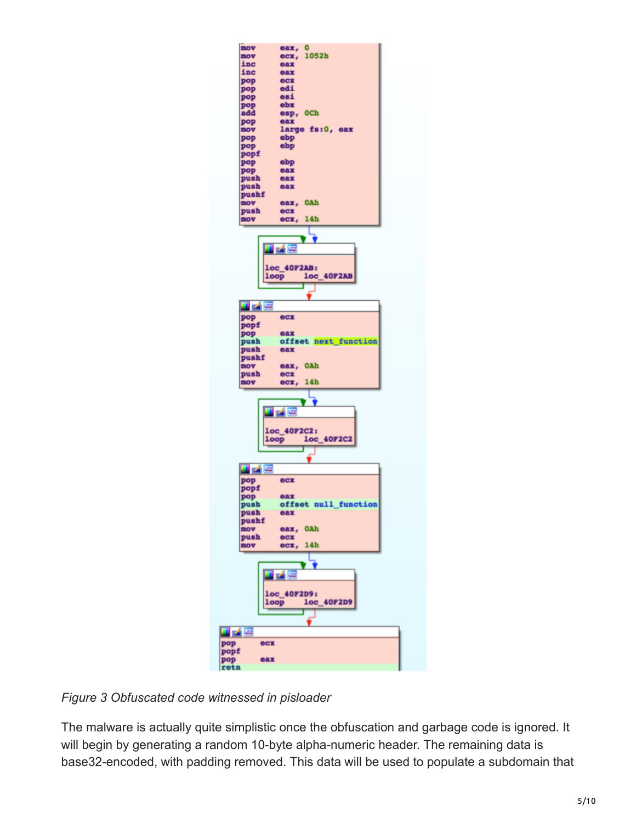

# *Figure 3 Obfuscated code witnessed in pisloader*

The malware is actually quite simplistic once the obfuscation and garbage code is ignored. It will begin by generating a random 10-byte alpha-numeric header. The remaining data is base32-encoded, with padding removed. This data will be used to populate a subdomain that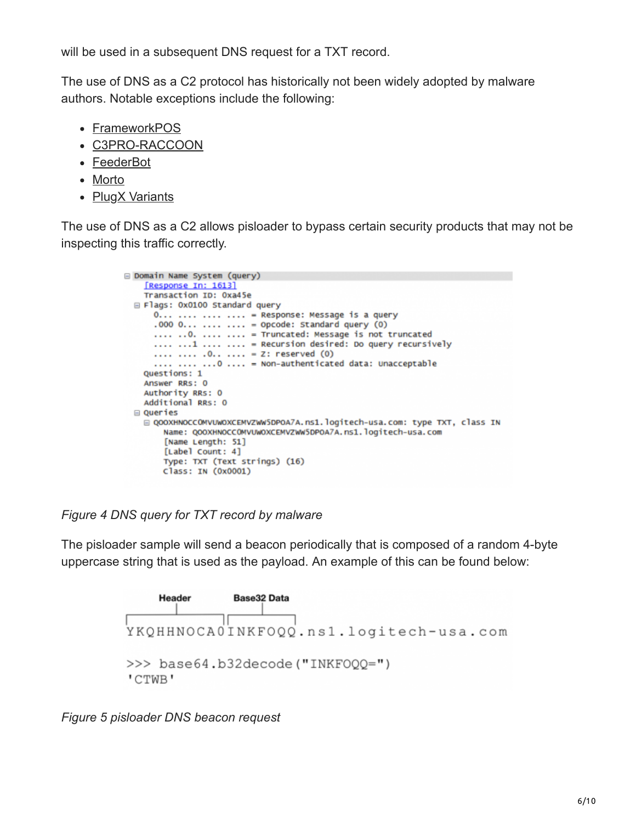will be used in a subsequent DNS request for a TXT record.

The use of DNS as a C2 protocol has historically not been widely adopted by malware authors. Notable exceptions include the following:

- [FrameworkPOS](https://blog.gdatasoftware.com/2014/10/23942-new-frameworkpos-variant-exfiltrates-data-via-dns-requests)
- [C3PRO-RACCOON](https://www.forcepoint.com/sites/default/files/resources/files/report_jaku_analysis_of_botnet_campaign_en_0.pdf)
- [FeederBot](http://blog.cj2s.de/archives/28-Feederbot-a-bot-using-DNS-as-carrier-for-its-CC.html)
- [Morto](http://www.symantec.com/connect/blogs/morto-worm-sets-dns-record)
- [PlugX Variants](http://blog.airbuscybersecurity.com/post/2014/01/PlugX-v2%3A-meet-SController)

The use of DNS as a C2 allows pisloader to bypass certain security products that may not be inspecting this traffic correctly.

```
Domain Name System (query)
   FResponse In: 1613]
   Transaction ID: 0xa45e
Flags: 0x0100 Standard query
    0... .... .... .... = Response: Message is a query
    .000 0... .... .... = 0pcode: Standard query (0)
     .... .. 0. .... .... = Truncated: Message is not truncated
    .... ...1 .... .... = Recursion desired: Do query recursively
    .... .... .0.. .... = Z: reserved (0)
     .... .... ... 0 .... = Non-authenticated data: Unacceptable
  Questions: 1
  Answer RRs: 0
  Authority RRs: 0
  Additional RRs: 0
⊟ Queries
   □ QOOXHNOCCOMVUWOXCEMVZWW5DPOA7A.ns1.logitech-usa.com: type TXT, class IN
      Name: QOOXHNOCCOMVUWOXCEMVZWW5DPOA7A.ns1.logitech-usa.com
       [Name Length: 51]
      [Label Count: 4]
      Type: TXT (Text strings) (16)
      Class: IN (0x0001)
```
*Figure 4 DNS query for TXT record by malware*

The pisloader sample will send a beacon periodically that is composed of a random 4-byte uppercase string that is used as the payload. An example of this can be found below:



*Figure 5 pisloader DNS beacon request*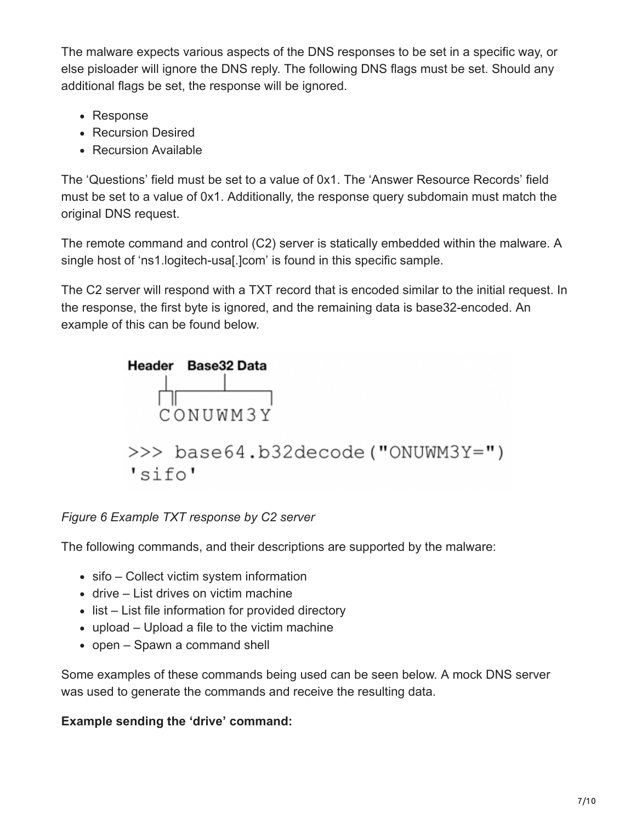The malware expects various aspects of the DNS responses to be set in a specific way, or else pisloader will ignore the DNS reply. The following DNS flags must be set. Should any additional flags be set, the response will be ignored.

- Response
- Recursion Desired
- Recursion Available

The 'Questions' field must be set to a value of 0x1. The 'Answer Resource Records' field must be set to a value of 0x1. Additionally, the response query subdomain must match the original DNS request.

The remote command and control (C2) server is statically embedded within the malware. A single host of 'ns1.logitech-usa[.]com' is found in this specific sample.

The C2 server will respond with a TXT record that is encoded similar to the initial request. In the response, the first byte is ignored, and the remaining data is base32-encoded. An example of this can be found below.



*Figure 6 Example TXT response by C2 server*

The following commands, and their descriptions are supported by the malware:

- sifo Collect victim system information
- drive List drives on victim machine
- list List file information for provided directory
- upload Upload a file to the victim machine
- open Spawn a command shell

Some examples of these commands being used can be seen below. A mock DNS server was used to generate the commands and receive the resulting data.

# **Example sending the 'drive' command:**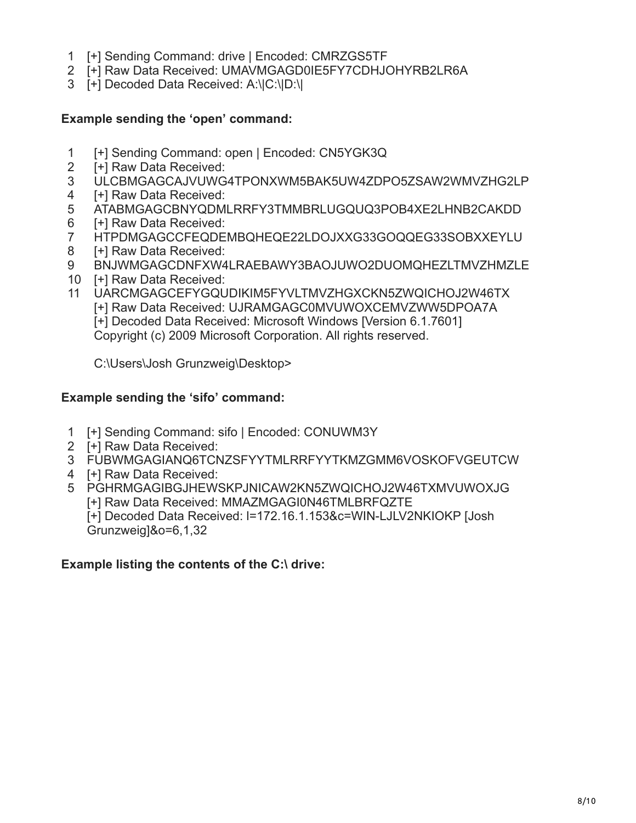- 1 [+] Sending Command: drive | Encoded: CMRZGS5TF
- 2 [+] Raw Data Received: UMAVMGAGD0IE5FY7CDHJOHYRB2LR6A
- 3 [+] Decoded Data Received: A:\|C:\|D:\|

#### **Example sending the 'open' command:**

- 1 [+] Sending Command: open | Encoded: CN5YGK3Q
- 2 [+] Raw Data Received:
- 3 ULCBMGAGCAJVUWG4TPONXWM5BAK5UW4ZDPO5ZSAW2WMVZHG2LP
- 4 [+] Raw Data Received:
- 5 ATABMGAGCBNYQDMLRRFY3TMMBRLUGQUQ3POB4XE2LHNB2CAKDD
- 6 [+] Raw Data Received:
- 7 HTPDMGAGCCFEQDEMBQHEQE22LDOJXXG33GOQQEG33SOBXXEYLU
- 8 [+] Raw Data Received:
- 9 BNJWMGAGCDNFXW4LRAEBAWY3BAOJUWO2DUOMQHEZLTMVZHMZLE
- 10 [+] Raw Data Received:
- 11 UARCMGAGCEFYGQUDIKIM5FYVLTMVZHGXCKN5ZWQICHOJ2W46TX [+] Raw Data Received: UJRAMGAGC0MVUWOXCEMVZWW5DPOA7A [+] Decoded Data Received: Microsoft Windows [Version 6.1.7601]

Copyright (c) 2009 Microsoft Corporation. All rights reserved.

C:\Users\Josh Grunzweig\Desktop>

#### **Example sending the 'sifo' command:**

- 1 [+] Sending Command: sifo | Encoded: CONUWM3Y
- 2 [+] Raw Data Received:
- 3 FUBWMGAGIANQ6TCNZSFYYTMLRRFYYTKMZGMM6VOSKOFVGEUTCW
- 4 [+] Raw Data Received:
- 5 PGHRMGAGIBGJHEWSKPJNICAW2KN5ZWQICHOJ2W46TXMVUWOXJG [+] Raw Data Received: MMAZMGAGI0N46TMLBRFQZTE [+] Decoded Data Received: l=172.16.1.153&c=WIN-LJLV2NKIOKP [Josh Grunzweig]&o=6,1,32

#### **Example listing the contents of the C:\ drive:**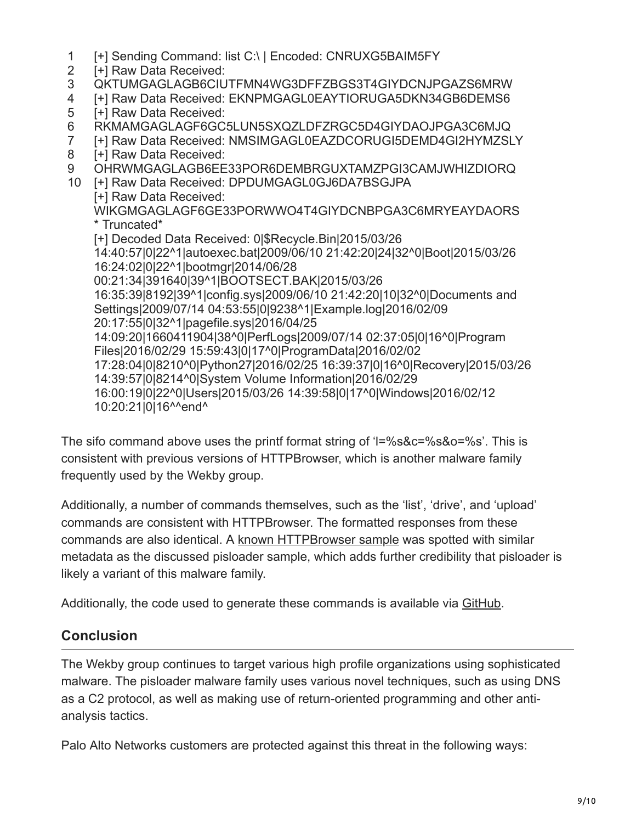- 1 [+] Sending Command: list C:\ | Encoded: CNRUXG5BAIM5FY
- 2 [+] Raw Data Received:
- 3 QKTUMGAGLAGB6CIUTFMN4WG3DFFZBGS3T4GIYDCNJPGAZS6MRW
- 4 [+] Raw Data Received: EKNPMGAGL0EAYTIORUGA5DKN34GB6DEMS6
- 5 [+] Raw Data Received:
- 6 RKMAMGAGLAGF6GC5LUN5SXQZLDFZRGC5D4GIYDAOJPGA3C6MJQ
- 7 [+] Raw Data Received: NMSIMGAGL0EAZDCORUGI5DEMD4GI2HYMZSLY
- 8 [+] Raw Data Received:
- 9 OHRWMGAGLAGB6EE33POR6DEMBRGUXTAMZPGI3CAMJWHIZDIORQ
- 10 [+] Raw Data Received: DPDUMGAGL0GJ6DA7BSGJPA
	- [+] Raw Data Received: WIKGMGAGLAGF6GE33PORWWO4T4GIYDCNBPGA3C6MRYEAYDAORS \* Truncated\* [+] Decoded Data Received: 0|\$Recycle.Bin|2015/03/26 14:40:57|0|22^1|autoexec.bat|2009/06/10 21:42:20|24|32^0|Boot|2015/03/26 16:24:02|0|22^1|bootmgr|2014/06/28 00:21:34|391640|39^1|BOOTSECT.BAK|2015/03/26 16:35:39|8192|39^1|config.sys|2009/06/10 21:42:20|10|32^0|Documents and Settings|2009/07/14 04:53:55|0|9238^1|Example.log|2016/02/09 20:17:55|0|32^1|pagefile.sys|2016/04/25 14:09:20|1660411904|38^0|PerfLogs|2009/07/14 02:37:05|0|16^0|Program Files|2016/02/29 15:59:43|0|17^0|ProgramData|2016/02/02 17:28:04|0|8210^0|Python27|2016/02/25 16:39:37|0|16^0|Recovery|2015/03/26 14:39:57|0|8214^0|System Volume Information|2016/02/29 16:00:19|0|22^0|Users|2015/03/26 14:39:58|0|17^0|Windows|2016/02/12 10:20:21|0|16^^end^

The sifo command above uses the printf format string of 'l=%s&c=%s&o=%s'. This is consistent with previous versions of HTTPBrowser, which is another malware family frequently used by the Wekby group.

Additionally, a number of commands themselves, such as the 'list', 'drive', and 'upload' commands are consistent with HTTPBrowser. The formatted responses from these commands are also identical. A [known HTTPBrowser sample](https://www.virustotal.com/en/file/9995fe6ff112efb6de6498ace23f42b8d3689f3c890959728cbc888462b9ea0d/analysis/) was spotted with similar metadata as the discussed pisloader sample, which adds further credibility that pisloader is likely a variant of this malware family.

Additionally, the code used to generate these commands is available via [GitHub](https://github.com/pan-unit42/public_tools/tree/master/pisloader/wekby_dns.py).

# **Conclusion**

The Wekby group continues to target various high profile organizations using sophisticated malware. The pisloader malware family uses various novel techniques, such as using DNS as a C2 protocol, as well as making use of return-oriented programming and other antianalysis tactics.

Palo Alto Networks customers are protected against this threat in the following ways: